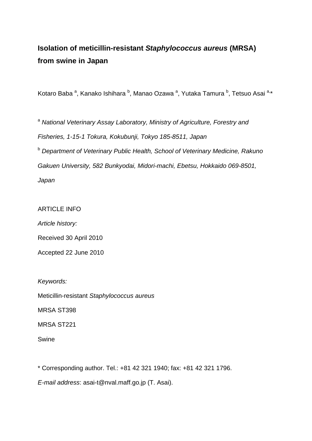# **Isolation of meticillin-resistant** *Staphylococcus aureus* **(MRSA) from swine in Japan**

Kotaro Baba <sup>a</sup>, Kanako Ishihara <sup>b</sup>, Manao Ozawa <sup>a</sup>, Yutaka Tamura <sup>b</sup>, Tetsuo Asai <sup>a,</sup>\*

<sup>a</sup> National Veterinary Assay Laboratory, Ministry of Agriculture, Forestry and *Fisheries, 1-15-1 Tokura, Kokubunji, Tokyo 185-8511, Japan*  b  *Department of Veterinary Public Health, School of Veterinary Medicine, Rakuno* 

*Gakuen University, 582 Bunkyodai, Midori-machi, Ebetsu, Hokkaido 069-8501,* 

*Japan* 

### ARTICLE INFO

*Article history:* 

Received 30 April 2010

Accepted 22 June 2010

*Keywords:* 

Meticillin-resistant *Staphylococcus aureus*

MRSA ST398

MRSA ST221

Swine

\* Corresponding author. Tel.: +81 42 321 1940; fax: +81 42 321 1796.

*E-mail address*: asai-t@nval.maff.go.jp (T. Asai).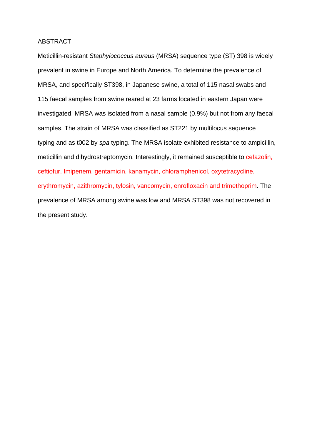#### ABSTRACT

Meticillin-resistant *Staphylococcus aureus* (MRSA) sequence type (ST) 398 is widely prevalent in swine in Europe and North America. To determine the prevalence of MRSA, and specifically ST398, in Japanese swine, a total of 115 nasal swabs and 115 faecal samples from swine reared at 23 farms located in eastern Japan were investigated. MRSA was isolated from a nasal sample (0.9%) but not from any faecal samples. The strain of MRSA was classified as ST221 by multilocus sequence typing and as t002 by *spa* typing. The MRSA isolate exhibited resistance to ampicillin, meticillin and dihydrostreptomycin. Interestingly, it remained susceptible to cefazolin, ceftiofur, Imipenem, gentamicin, kanamycin, chloramphenicol, oxytetracycline, erythromycin, azithromycin, tylosin, vancomycin, enrofloxacin and trimethoprim. The prevalence of MRSA among swine was low and MRSA ST398 was not recovered in the present study.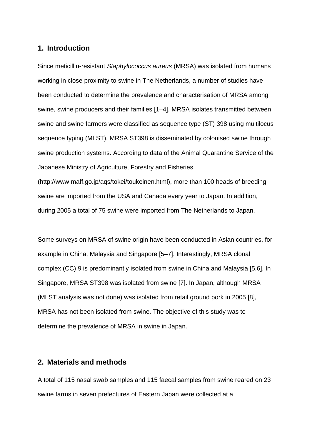#### **1. Introduction**

Since meticillin-resistant *Staphylococcus aureus* (MRSA) was isolated from humans working in close proximity to swine in The Netherlands, a number of studies have been conducted to determine the prevalence and characterisation of MRSA among swine, swine producers and their families [1–4]. MRSA isolates transmitted between swine and swine farmers were classified as sequence type (ST) 398 using multilocus sequence typing (MLST). MRSA ST398 is disseminated by colonised swine through swine production systems. According to data of the Animal Quarantine Service of the Japanese Ministry of Agriculture, Forestry and Fisheries (http://www.maff.go.jp/aqs/tokei/toukeinen.html), more than 100 heads of breeding swine are imported from the USA and Canada every year to Japan. In addition, during 2005 a total of 75 swine were imported from The Netherlands to Japan.

Some surveys on MRSA of swine origin have been conducted in Asian countries, for example in China, Malaysia and Singapore [5–7]. Interestingly, MRSA clonal complex (CC) 9 is predominantly isolated from swine in China and Malaysia [5,6]. In Singapore, MRSA ST398 was isolated from swine [7]. In Japan, although MRSA (MLST analysis was not done) was isolated from retail ground pork in 2005 [8], MRSA has not been isolated from swine. The objective of this study was to determine the prevalence of MRSA in swine in Japan.

#### **2. Materials and methods**

A total of 115 nasal swab samples and 115 faecal samples from swine reared on 23 swine farms in seven prefectures of Eastern Japan were collected at a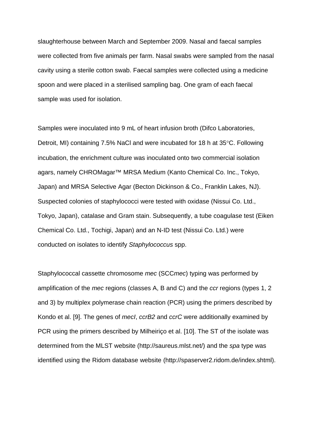slaughterhouse between March and September 2009. Nasal and faecal samples were collected from five animals per farm. Nasal swabs were sampled from the nasal cavity using a sterile cotton swab. Faecal samples were collected using a medicine spoon and were placed in a sterilised sampling bag. One gram of each faecal sample was used for isolation.

Samples were inoculated into 9 mL of heart infusion broth (Difco Laboratories, Detroit, MI) containing 7.5% NaCl and were incubated for 18 h at 35°C. Following incubation, the enrichment culture was inoculated onto two commercial isolation agars, namely CHROMagar™ MRSA Medium (Kanto Chemical Co. Inc., Tokyo, Japan) and MRSA Selective Agar (Becton Dickinson & Co., Franklin Lakes, NJ). Suspected colonies of staphylococci were tested with oxidase (Nissui Co. Ltd., Tokyo, Japan), catalase and Gram stain. Subsequently, a tube coagulase test (Eiken Chemical Co. Ltd., Tochigi, Japan) and an N-ID test (Nissui Co. Ltd.) were conducted on isolates to identify *Staphylococcus* spp.

Staphylococcal cassette chromosome *mec* (SCC*mec*) typing was performed by amplification of the *mec* regions (classes A, B and C) and the *ccr* regions (types 1, 2 and 3) by multiplex polymerase chain reaction (PCR) using the primers described by Kondo et al. [9]. The genes of *mecI*, *ccrB2* and *ccrC* were additionally examined by PCR using the primers described by Milheiriço et al. [10]. The ST of the isolate was determined from the MLST website (http://saureus.mlst.net/) and the *spa* type was identified using the Ridom database website (http://spaserver2.ridom.de/index.shtml).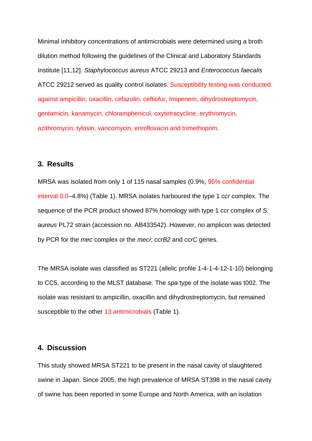[Minimal inhibitory concentration](javascript:goWordLink(%22minimal%20inhibitory%20concentration%22))s of antimicrobials were determined using a broth dilution method following the guidelines of the Clinical and Laboratory Standards Institute [11,12]. *Staphylococcus aureus* ATCC 29213 and *Enterococcus faecalis* ATCC 29212 served as quality control isolates. Susceptibility testing was conducted against ampicillin, oxacillin, cefazolin, ceftiofur, Imipenem, dihydrostreptomycin, gentamicin, kanamycin, chloramphenicol, oxytetracycline, erythromycin, azithromycin, tylosin, vancomycin, enrofloxacin and trimethoprim.

#### **3. Results**

MRSA was isolated from only 1 of 115 nasal samples (0.9%, 95% confidential interval 0.0–4.8%) (Table 1). MRSA isolates harboured the type 1 *ccr* complex. The sequence of the PCR product showed 87% homology with type 1 *ccr* complex of *S. aureus* PL72 strain (accession no. AB433542). However, no amplicon was detected by PCR for the *mec* complex or the *mecI*, *ccrB2* and *ccrC* genes.

The MRSA isolate was classified as ST221 (allelic profile 1-4-1-4-12-1-10) belonging to CC5, according to the MLST database. The *spa* type of the isolate was t002. The isolate was resistant to ampicillin, oxacillin and dihydrostreptomycin, but remained susceptible to the other 13 antimicrobials (Table 1).

## **4. Discussion**

This study showed MRSA ST221 to be present in the nasal cavity of slaughtered swine in Japan. Since 2005, the high prevalence of MRSA ST398 in the nasal cavity of swine has been reported in some Europe and North America, with an isolation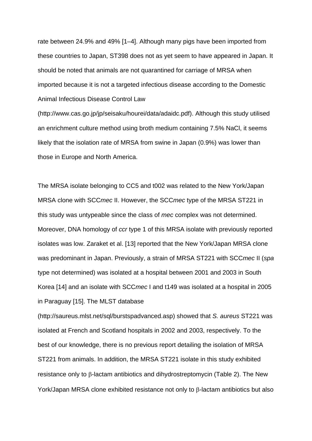rate between 24.9% and 49% [1–4]. Although many pigs have been imported from these countries to Japan, ST398 does not as yet seem to have appeared in Japan. It should be noted that animals are not quarantined for carriage of MRSA when imported because it is not a targeted infectious disease according to the Domestic Animal Infectious Disease Control Law

(http://www.cas.go.jp/jp/seisaku/hourei/data/adaidc.pdf). Although this study utilised an enrichment culture method using broth medium containing 7.5% NaCl, it seems likely that the isolation rate of MRSA from swine in Japan (0.9%) was lower than those in Europe and North America.

The MRSA isolate belonging to CC5 and t002 was related to the New York/Japan MRSA clone with SCC*mec* II. However, the SCC*mec* type of the MRSA ST221 in this study was untypeable since the class of *mec* complex was not determined. Moreover, DNA homology of *ccr* type 1 of this MRSA isolate with previously reported isolates was low. Zaraket et al. [13] reported that the New York/Japan MRSA clone was predominant in Japan. Previously, a strain of MRSA ST221 with SCC*mec* II (*spa* type not determined) was isolated at a hospital between 2001 and 2003 in South Korea [14] and an isolate with SCC*mec* I and t149 was isolated at a hospital in 2005 in Paraguay [15]. The MLST database

(http://saureus.mlst.net/sql/burstspadvanced.asp) showed that *S. aureus* ST221 was isolated at French and Scotland hospitals in 2002 and 2003, respectively. To the best of our knowledge, there is no previous report detailing the isolation of MRSA ST221 from animals. In addition, the MRSA ST221 isolate in this study exhibited resistance only to β-lactam antibiotics and dihydrostreptomycin (Table 2). The New York/Japan MRSA clone exhibited resistance not only to β-lactam antibiotics but also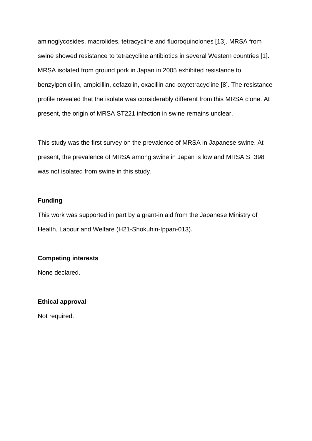aminoglycosides, macrolides, tetracycline and fluoroquinolones [13]. MRSA from swine showed resistance to tetracycline antibiotics in several Western countries [1]. MRSA isolated from ground pork in Japan in 2005 exhibited resistance to benzylpenicillin, ampicillin, cefazolin, oxacillin and oxytetracycline [8]. The resistance profile revealed that the isolate was considerably different from this MRSA clone. At present, the origin of MRSA ST221 infection in swine remains unclear.

This study was the first survey on the prevalence of MRSA in Japanese swine. At present, the prevalence of MRSA among swine in Japan is low and MRSA ST398 was not isolated from swine in this study.

#### **Funding**

This work was supported in part by a grant-in aid from the Japanese Ministry of Health, Labour and Welfare (H21-Shokuhin-Ippan-013).

#### **Competing interests**

None declared.

#### **Ethical approval**

Not required.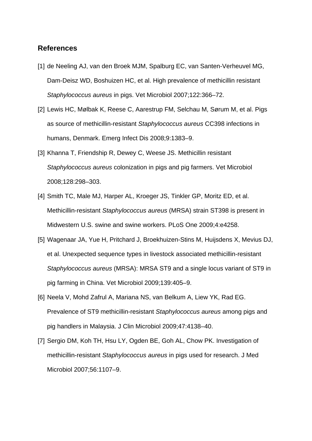#### **References**

- [1] de Neeling AJ, van den Broek MJM, Spalburg EC, van Santen-Verheuvel MG, Dam-Deisz WD, Boshuizen HC, et al. High prevalence of methicillin resistant *Staphylococcus aureus* in pigs. Vet Microbiol 2007;122:366–72.
- [2] Lewis HC, Mølbak K, Reese C, [Aarestrup FM](http://www.ncbi.nlm.nih.gov/pubmed?term=%22Aarestrup%20FM%22%5BAuthor%5D&itool=EntrezSystem2.PEntrez.Pubmed.Pubmed_ResultsPanel.Pubmed_RVAbstract), [Selchau M,](http://www.ncbi.nlm.nih.gov/pubmed?term=%22Selchau%20M%22%5BAuthor%5D&itool=EntrezSystem2.PEntrez.Pubmed.Pubmed_ResultsPanel.Pubmed_RVAbstract) [Sørum M,](http://www.ncbi.nlm.nih.gov/pubmed?term=%22S%C3%B8rum%20M%22%5BAuthor%5D&itool=EntrezSystem2.PEntrez.Pubmed.Pubmed_ResultsPanel.Pubmed_RVAbstract) et al. Pigs as source of methicillin-resistant *Staphylococcus aureus* CC398 infections in humans, Denmark. Emerg Infect Dis 2008;9:1383–9.
- [3] Khanna T, Friendship R, Dewey C, [Weese JS](http://www.ncbi.nlm.nih.gov/pubmed?term=%22Weese%20JS%22%5BAuthor%5D&itool=EntrezSystem2.PEntrez.Pubmed.Pubmed_ResultsPanel.Pubmed_RVAbstract). Methicillin resistant *Staphylococcus aureus* colonization in pigs and pig farmers. Vet Microbiol 2008;[128:](http://www.sciencedirect.com/science?_ob=PublicationURL&_tockey=%23TOC%235190%232008%23998719996%23681968%23FLA%23&_cdi=5190&_pubType=J&view=c&_auth=y&_acct=C000065311&_version=1&_urlVersion=0&_userid=4831942&md5=f03eccfa4dd76b401f30c1431cae186a)298–303.
- [4] Smith TC, Male MJ, Harper AL, Kroeger JS, Tinkler GP, Moritz ED, et al. Methicillin-resistant *Staphylococcus aureus* (MRSA) strain ST398 is present in Midwestern U.S. swine and swine workers. PLoS One 2009;4:e4258.
- [5] Wagenaar JA, Yue H, Pritchard J, Broekhuizen-Stins M, Huijsdens X, Mevius DJ, et al. Unexpected sequence types in livestock associated methicillin-resistant *Staphylococcus aureus* (MRSA): MRSA ST9 and a single locus variant of ST9 in pig farming in China. [Vet Microbiol](http://www.sciencedirect.com/science/journal/03781135) 2009;[139:](http://www.sciencedirect.com/science?_ob=PublicationURL&_tockey=%23TOC%235190%232009%23998609996%231532116%23FLA%23&_cdi=5190&_pubType=J&view=c&_auth=y&_acct=C000065311&_version=1&_urlVersion=0&_userid=4831942&md5=fe09da5bd68e606cdf0e95c3259f0fc4)405–9.
- [6] Neela V, Mohd Zafrul A, Mariana NS, van Belkum A, Liew YK, Rad EG. Prevalence of ST9 methicillin-resistant *Staphylococcus aureus* among pigs and pig handlers in Malaysia. J Clin Microbiol 2009;47:4138–40.
- [7] Sergio DM, Koh TH, Hsu LY, Ogden BE, Goh AL, Chow PK. Investigation of methicillin-resistant *Staphylococcus aureus* in pigs used for research. J Med Microbiol 2007;56:1107–9.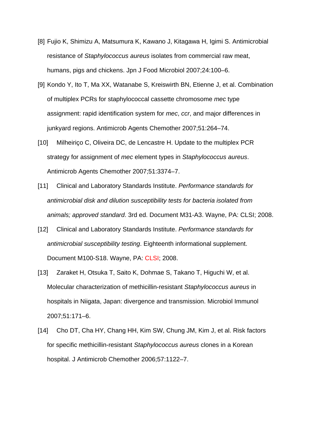- [8] Fujio K, Shimizu A, Matsumura K, Kawano J, Kitagawa H, Igimi S. Antimicrobial resistance of *Staphylococcus aureus* isolates from commercial raw meat, humans, pigs and chickens. Jpn J Food Microbiol 2007;24:100–6.
- [9] Kondo Y, Ito T, Ma XX, Watanabe S, Kreiswirth BN, Etienne J, et al. Combination of multiplex PCRs for staphylococcal cassette chromosome *mec* type assignment: rapid identification system for *mec*, *ccr*, and major differences in junkyard regions. Antimicrob Agents Chemother 2007;51:264–74.
- [10] Milheiriço C, Oliveira DC, de Lencastre H. Update to the multiplex PCR strategy for assignment of *mec* element types in *Staphylococcus aureus*. Antimicrob Agents Chemother 2007;51:3374–7.
- [11] Clinical and Laboratory Standards Institute. *Performance standards for antimicrobial disk and dilution susceptibility tests for bacteria isolated from animals; approved standard*. 3rd ed. Document M31-A3. Wayne, PA: CLSI; 2008.
- [12] Clinical and Laboratory Standards Institute. *Performance standards for antimicrobial susceptibility testing*. Eighteenth informational supplement. Document M100-S18. Wayne, PA: CLSI; 2008.
- [13] Zaraket H, Otsuka T, Saito K, [Dohmae S,](http://www.ncbi.nlm.nih.gov/pubmed?term=%22Dohmae%20S%22%5BAuthor%5D) [Takano T](http://www.ncbi.nlm.nih.gov/pubmed?term=%22Takano%20T%22%5BAuthor%5D), [Higuchi W](http://www.ncbi.nlm.nih.gov/pubmed?term=%22Higuchi%20W%22%5BAuthor%5D), et al. Molecular characterization of methicillin-resistant *Staphylococcus aureus* in hospitals in Niigata, Japan: divergence and transmission. Microbiol Immunol 2007;51:171–6.
- [14] Cho DT, Cha HY, Chang HH, Kim SW, Chung JM, Kim J, et al. Risk factors for specific methicillin-resistant *Staphylococcus aureus* clones in a Korean hospital. J Antimicrob Chemother 2006;57:1122–7.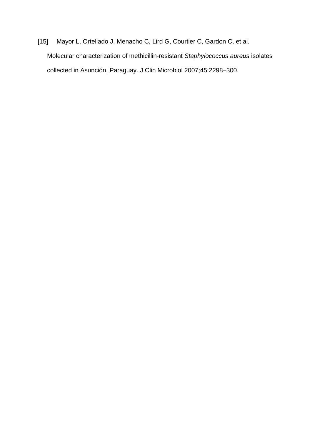[15] Mayor L, Ortellado J, Menacho C, Lird G, Courtier C, Gardon C, et al. Molecular characterization of methicillin-resistant *Staphylococcus aureus* isolates collected in Asunción, Paraguay. J Clin Microbiol 2007;45:2298–300.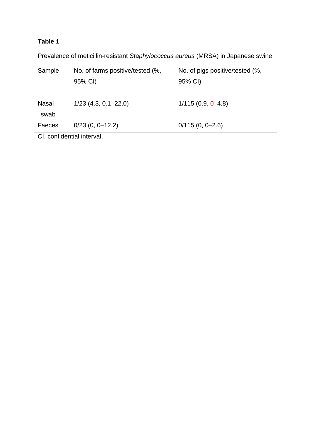# **Table 1**

Prevalence of meticillin-resistant *Staphylococcus aureus* (MRSA) in Japanese swine

| Sample                   | No. of farms positive/tested (%, | No. of pigs positive/tested (%, |  |  |  |
|--------------------------|----------------------------------|---------------------------------|--|--|--|
|                          | 95% CI)                          | 95% CI)                         |  |  |  |
|                          |                                  |                                 |  |  |  |
|                          |                                  |                                 |  |  |  |
| <b>Nasal</b>             | $1/23$ (4.3, 0.1–22.0)           | $1/115(0.9, 0-4.8)$             |  |  |  |
| swab                     |                                  |                                 |  |  |  |
| Faeces                   | $0/23$ (0, 0-12.2)               | $0/115(0, 0-2.6)$               |  |  |  |
|                          |                                  |                                 |  |  |  |
| CL confidential interval |                                  |                                 |  |  |  |

CI, confidential interval.